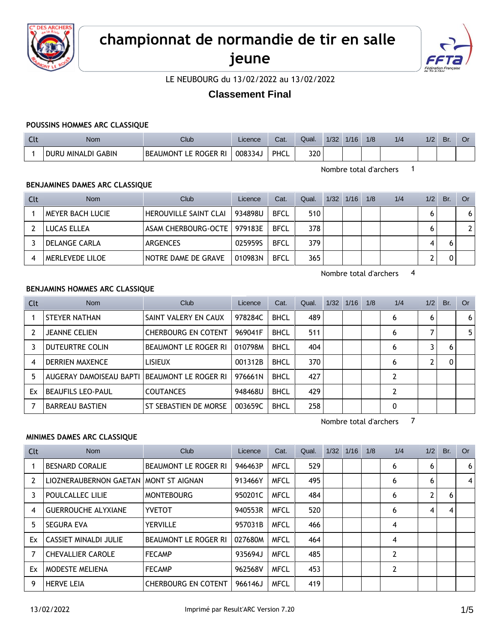

## **championnat de normandie de tir en salle jeune**



LE NEUBOURG du 13/02/2022 au 13/02/2022

### **Classement Final**

#### **POUSSINS HOMMES ARC CLASSIQUE**

| ๛ | Nom                | Club                               | Licence | Cat. | Qual. | 1/32 | 1/16 | 1/8 | 1/2 | 1/2 | Br | UI |
|---|--------------------|------------------------------------|---------|------|-------|------|------|-----|-----|-----|----|----|
|   | DURU MINALDI GABIN | <b>BEAUMONT</b><br>: Roger Ri<br>F | 008334、 | PHCL | 320   |      |      |     |     |     |    |    |

Nombre total d'archers 1

#### **BENJAMINES DAMES ARC CLASSIQUE**

| <b>Clt</b> | <b>Nom</b>           | Club                          | Licence | Cat.        | Qual. | $1/32$ $1/16$ | 1/8 | 1/4 | 1/2 | Br. | Or           |
|------------|----------------------|-------------------------------|---------|-------------|-------|---------------|-----|-----|-----|-----|--------------|
|            | MEYER BACH LUCIE     | HEROUVILLE SAINT CLAI         | 934898U | <b>BFCL</b> | 510   |               |     |     |     |     | 6            |
|            | LUCAS ELLEA          | ASAM CHERBOURG-OCTE   979183E |         | <b>BFCL</b> | 378   |               |     |     |     |     | $\mathbf{2}$ |
|            | <b>DELANGE CARLA</b> | ARGENCES                      | 0259595 | <b>BFCL</b> | 379   |               |     |     | 4   |     |              |
|            | MERLEVEDE LILOE      | NOTRE DAME DE GRAVE           | 010983N | <b>BFCL</b> | 365   |               |     |     |     |     |              |

Nombre total d'archers 4

#### **BENJAMINS HOMMES ARC CLASSIQUE**

| Clt | <b>Nom</b>              | Club                       | Licence | Cat.        | Qual. | 1/32 | 1/16 | 1/8 | 1/4 | 1/2 | Br. | Or             |
|-----|-------------------------|----------------------------|---------|-------------|-------|------|------|-----|-----|-----|-----|----------------|
|     | STEYER NATHAN           | SAINT VALERY EN CAUX       | 978284C | <b>BHCL</b> | 489   |      |      |     | 6   | 6   |     | 6 <sup>1</sup> |
| 2   | <b>JEANNE CELIEN</b>    | <b>CHERBOURG EN COTENT</b> | 969041F | <b>BHCL</b> | 511   |      |      |     | 6   |     |     | 5              |
| 3   | DUTEURTRE COLIN         | BEAUMONT LE ROGER RI       | 010798M | <b>BHCL</b> | 404   |      |      |     | 6   |     | 6   |                |
| 4   | <b>DERRIEN MAXENCE</b>  | <b>LISIEUX</b>             | 001312B | <b>BHCL</b> | 370   |      |      |     | 6   |     |     |                |
| 5   | AUGERAY DAMOISEAU BAPTI | BEAUMONT LE ROGER RI       | 976661N | <b>BHCL</b> | 427   |      |      |     | 2   |     |     |                |
| Ex  | BEAUFILS LEO-PAUL       | <b>COUTANCES</b>           | 948468U | <b>BHCL</b> | 429   |      |      |     | າ   |     |     |                |
|     | <b>BARREAU BASTIEN</b>  | ST SEBASTIEN DE MORSE      | 003659C | <b>BHCL</b> | 258   |      |      |     | 0   |     |     |                |

Nombre total d'archers 7

#### **MINIMES DAMES ARC CLASSIQUE**

| Clt | Nom                                     | <b>Club</b>                 | Licence | Cat.        | Qual. | 1/32 | 1/16 | 1/8 | 1/4            | 1/2            | Br. | Or |
|-----|-----------------------------------------|-----------------------------|---------|-------------|-------|------|------|-----|----------------|----------------|-----|----|
|     | <b>BESNARD CORALIE</b>                  | <b>BEAUMONT LE ROGER RI</b> | 946463P | <b>MFCL</b> | 529   |      |      |     | 6              | 6              |     | 6  |
| 2   | LIOZNERAUBERNON GAETAN   MONT ST AIGNAN |                             | 913466Y | <b>MFCL</b> | 495   |      |      |     | 6              | 6              |     | 4  |
| 3   | POULCALLEC LILIE                        | <b>MONTEBOURG</b>           | 950201C | <b>MFCL</b> | 484   |      |      |     | 6              | $\overline{2}$ | 6   |    |
| 4   | <b>GUERROUCHE ALYXIANE</b>              | <b>YVETOT</b>               | 940553R | <b>MFCL</b> | 520   |      |      |     | 6              | 4              | 4   |    |
| 5   | <b>SEGURA EVA</b>                       | <b>YERVILLE</b>             | 957031B | <b>MFCL</b> | 466   |      |      |     | 4              |                |     |    |
| Ex  | <b>CASSIET MINALDI JULIE</b>            | <b>BEAUMONT LE ROGER RI</b> | 027680M | <b>MFCL</b> | 464   |      |      |     | $\overline{4}$ |                |     |    |
| 7   | <b>CHEVALLIER CAROLE</b>                | <b>FECAMP</b>               | 935694J | <b>MFCL</b> | 485   |      |      |     | 2              |                |     |    |
| Ex  | <b>MODESTE MELIENA</b>                  | <b>FECAMP</b>               | 962568V | <b>MFCL</b> | 453   |      |      |     | 2              |                |     |    |
| 9   | <b>HERVE LEIA</b>                       | <b>CHERBOURG EN COTENT</b>  | 966146J | <b>MFCL</b> | 419   |      |      |     |                |                |     |    |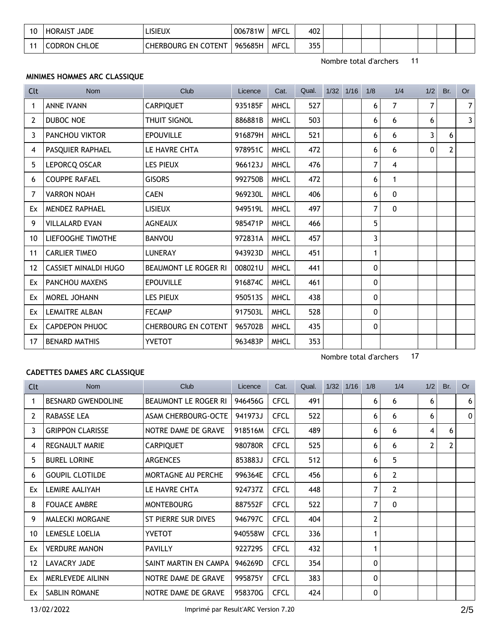| 10 | <b>JADE</b><br><b>HORAIST</b> | .ISIEUX                    | 006781W | MFCL | 402 |  |  |  |  |
|----|-------------------------------|----------------------------|---------|------|-----|--|--|--|--|
|    | <b>CODRON CHLOE</b>           | <b>CHERBOURG EN COTENT</b> | 965685H | MFCL | 355 |  |  |  |  |

Nombre total d'archers 17

#### **MINIMES HOMMES ARC CLASSIQUE**

| <b>Clt</b>      | <b>Nom</b>                  | Club                       | Licence | Cat.        | Qual. | $1/32$ $1/16$ | 1/8            | 1/4          | 1/2      | Br.          | <b>Or</b> |
|-----------------|-----------------------------|----------------------------|---------|-------------|-------|---------------|----------------|--------------|----------|--------------|-----------|
| 1               | <b>ANNE IVANN</b>           | <b>CARPIQUET</b>           | 935185F | <b>MHCL</b> | 527   |               | 6              | 7            | 7        |              | 7         |
| 2               | DUBOC NOE                   | <b>THUIT SIGNOL</b>        | 886881B | <b>MHCL</b> | 503   |               | 6              | 6            | 6        |              | 3         |
| 3               | PANCHOU VIKTOR              | <b>EPOUVILLE</b>           | 916879H | <b>MHCL</b> | 521   |               | 6              | 6            | 3        | 6            |           |
| 4               | PASQUIER RAPHAEL            | LE HAVRE CHTA              | 978951C | <b>MHCL</b> | 472   |               | 6              | 6            | $\Omega$ | $\mathbf{2}$ |           |
| 5               | LEPORCQ OSCAR               | <b>LES PIEUX</b>           | 966123J | <b>MHCL</b> | 476   |               | $\overline{7}$ | 4            |          |              |           |
| 6               | <b>COUPPE RAFAEL</b>        | <b>GISORS</b>              | 992750B | <b>MHCL</b> | 472   |               | 6              | 1            |          |              |           |
| 7               | <b>VARRON NOAH</b>          | <b>CAEN</b>                | 969230L | <b>MHCL</b> | 406   |               | 6              | $\mathbf{0}$ |          |              |           |
| Ex              | <b>MENDEZ RAPHAEL</b>       | <b>LISIEUX</b>             | 949519L | <b>MHCL</b> | 497   |               | $\overline{7}$ | $\mathbf{0}$ |          |              |           |
| 9               | <b>VILLALARD EVAN</b>       | <b>AGNEAUX</b>             | 985471P | <b>MHCL</b> | 466   |               | 5              |              |          |              |           |
| 10              | LIEFOOGHE TIMOTHE           | <b>BANVOU</b>              | 972831A | <b>MHCL</b> | 457   |               | 3              |              |          |              |           |
| 11              | <b>CARLIER TIMEO</b>        | <b>LUNERAY</b>             | 943923D | <b>MHCL</b> | 451   |               | 1              |              |          |              |           |
| $12 \ \mathrm{$ | <b>CASSIET MINALDI HUGO</b> | BEAUMONT LE ROGER RI       | 008021U | <b>MHCL</b> | 441   |               | 0              |              |          |              |           |
| Ex              | <b>PANCHOU MAXENS</b>       | <b>EPOUVILLE</b>           | 916874C | <b>MHCL</b> | 461   |               | 0              |              |          |              |           |
| Ex              | <b>MOREL JOHANN</b>         | <b>LES PIEUX</b>           | 950513S | <b>MHCL</b> | 438   |               | 0              |              |          |              |           |
| Ex              | <b>LEMAITRE ALBAN</b>       | <b>FECAMP</b>              | 917503L | <b>MHCL</b> | 528   |               | 0              |              |          |              |           |
| Ex              | <b>CAPDEPON PHUOC</b>       | <b>CHERBOURG EN COTENT</b> | 965702B | <b>MHCL</b> | 435   |               | 0              |              |          |              |           |
| 17              | <b>BENARD MATHIS</b>        | <b>YVETOT</b>              | 963483P | <b>MHCL</b> | 353   |               |                |              |          |              |           |

#### **CADETTES DAMES ARC CLASSIQUE**

| Clt               | <b>Nom</b>                | Club                       | Licence | Cat.        | Qual. | 1/32 | 1/16 | 1/8            | 1/4            | 1/2            | Br. | 0r |
|-------------------|---------------------------|----------------------------|---------|-------------|-------|------|------|----------------|----------------|----------------|-----|----|
|                   | <b>BESNARD GWENDOLINE</b> | BEAUMONT LE ROGER RI       | 946456G | <b>CFCL</b> | 491   |      |      | 6              | 6              | 6              |     | 6  |
| 2                 | RABASSE LEA               | <b>ASAM CHERBOURG-OCTE</b> | 941973J | <b>CFCL</b> | 522   |      |      | 6              | 6              | 6              |     | 0  |
| 3                 | <b>GRIPPON CLARISSE</b>   | NOTRE DAME DE GRAVE        | 918516M | <b>CFCL</b> | 489   |      |      | 6              | 6              | 4              | 6   |    |
| 4                 | <b>REGNAULT MARIE</b>     | <b>CARPIQUET</b>           | 980780R | <b>CFCL</b> | 525   |      |      | 6              | 6              | $\overline{2}$ | 2   |    |
| 5                 | <b>BUREL LORINE</b>       | <b>ARGENCES</b>            | 853883J | <b>CFCL</b> | 512   |      |      | 6              | 5              |                |     |    |
| 6                 | <b>GOUPIL CLOTILDE</b>    | MORTAGNE AU PERCHE         | 996364E | <b>CFCL</b> | 456   |      |      | 6              | $\overline{2}$ |                |     |    |
| Ex                | LEMIRE AALIYAH            | LE HAVRE CHTA              | 924737Z | <b>CFCL</b> | 448   |      |      | $\overline{7}$ | $\overline{2}$ |                |     |    |
| 8                 | <b>FOUACE AMBRE</b>       | <b>MONTEBOURG</b>          | 887552F | <b>CFCL</b> | 522   |      |      | $\overline{7}$ | $\mathbf{0}$   |                |     |    |
| 9                 | <b>MALECKI MORGANE</b>    | ST PIERRE SUR DIVES        | 946797C | <b>CFCL</b> | 404   |      |      | 2              |                |                |     |    |
| 10                | LEMESLE LOELIA            | <b>YVETOT</b>              | 940558W | <b>CFCL</b> | 336   |      |      | 1              |                |                |     |    |
| Ex                | <b>VERDURE MANON</b>      | <b>PAVILLY</b>             | 922729S | <b>CFCL</b> | 432   |      |      | 1              |                |                |     |    |
| $12 \overline{ }$ | LAVACRY JADE              | SAINT MARTIN EN CAMPA      | 946269D | <b>CFCL</b> | 354   |      |      | 0              |                |                |     |    |
| Ex                | MERLEVEDE AILINN          | NOTRE DAME DE GRAVE        | 995875Y | <b>CFCL</b> | 383   |      |      | 0              |                |                |     |    |
| Ex                | <b>SABLIN ROMANE</b>      | NOTRE DAME DE GRAVE        | 958370G | <b>CFCL</b> | 424   |      |      | 0              |                |                |     |    |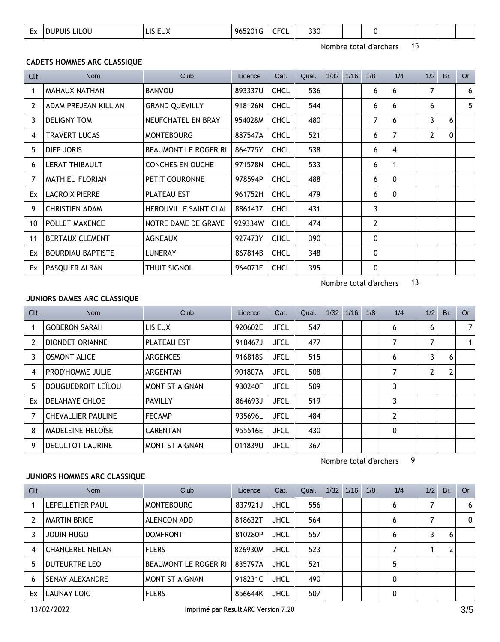| זור<br>.<br>∼<br>$-$<br>$  -$ | $\overline{\phantom{0}}$<br>$\mathsf{L}\mathsf{v}$ | .OU | 'I IV | -96 | $- - -$ | 330 |  |  |  |  |  |  |  |  |
|-------------------------------|----------------------------------------------------|-----|-------|-----|---------|-----|--|--|--|--|--|--|--|--|
|-------------------------------|----------------------------------------------------|-----|-------|-----|---------|-----|--|--|--|--|--|--|--|--|

#### **CADETS HOMMES ARC CLASSIQUE**

| Clt | Nom                      | Club                         | Licence | Cat.        | Qual. | 1/32 | 1/16 | 1/8            | 1/4          | 1/2 | Br.          | <b>Or</b>      |
|-----|--------------------------|------------------------------|---------|-------------|-------|------|------|----------------|--------------|-----|--------------|----------------|
| 1   | MAHAUX NATHAN            | <b>BANVOU</b>                | 893337U | <b>CHCL</b> | 536   |      |      | 6              | 6            | 7   |              | 6 <sup>1</sup> |
| 2   | ADAM PREJEAN KILLIAN     | <b>GRAND QUEVILLY</b>        | 918126N | <b>CHCL</b> | 544   |      |      | 6              | 6            | 6   |              | 5 <sup>1</sup> |
| 3   | <b>DELIGNY TOM</b>       | NEUFCHATEL EN BRAY           | 954028M | <b>CHCL</b> | 480   |      |      | 7              | 6            | 3   | 6            |                |
| 4   | <b>TRAVERT LUCAS</b>     | <b>MONTEBOURG</b>            | 887547A | <b>CHCL</b> | 521   |      |      | 6              | 7            | 2   | $\mathbf{0}$ |                |
| 5   | DIEP JORIS               | <b>BEAUMONT LE ROGER RI</b>  | 864775Y | <b>CHCL</b> | 538   |      |      | 6              | 4            |     |              |                |
| 6   | <b>LERAT THIBAULT</b>    | <b>CONCHES EN OUCHE</b>      | 971578N | <b>CHCL</b> | 533   |      |      | 6              | 1            |     |              |                |
| 7   | <b>MATHIEU FLORIAN</b>   | PETIT COURONNE               | 978594P | <b>CHCL</b> | 488   |      |      | 6              | $\mathbf{0}$ |     |              |                |
| Ex  | <b>LACROIX PIERRE</b>    | <b>PLATEAU EST</b>           | 961752H | <b>CHCL</b> | 479   |      |      | 6              | 0            |     |              |                |
| 9   | <b>CHRISTIEN ADAM</b>    | <b>HEROUVILLE SAINT CLAI</b> | 886143Z | <b>CHCL</b> | 431   |      |      | 3              |              |     |              |                |
| 10  | POLLET MAXENCE           | NOTRE DAME DE GRAVE          | 929334W | <b>CHCL</b> | 474   |      |      | $\overline{2}$ |              |     |              |                |
| 11  | <b>BERTAUX CLEMENT</b>   | <b>AGNEAUX</b>               | 927473Y | <b>CHCL</b> | 390   |      |      | 0              |              |     |              |                |
| Ex  | <b>BOURDIAU BAPTISTE</b> | <b>LUNERAY</b>               | 867814B | <b>CHCL</b> | 348   |      |      | 0              |              |     |              |                |
| Ex  | PASQUIER ALBAN           | <b>THUIT SIGNOL</b>          | 964073F | <b>CHCL</b> | 395   |      |      | 0              |              |     |              |                |

Nombre total d'archers 13

#### **JUNIORS DAMES ARC CLASSIQUE**

| Clt            | Nom                       | Club                  | Licence | Cat.        | Qual. | 1/32 | 1/16 | 1/8 | 1/4                         | 1/2 | Br. | <b>Or</b>      |
|----------------|---------------------------|-----------------------|---------|-------------|-------|------|------|-----|-----------------------------|-----|-----|----------------|
|                | <b>GOBERON SARAH</b>      | <b>LISIEUX</b>        | 920602E | <b>JFCL</b> | 547   |      |      |     | 6                           | 6   |     | 7 <sup>1</sup> |
| $\overline{2}$ | DIONDET ORIANNE           | <b>PLATEAU EST</b>    | 918467J | <b>JFCL</b> | 477   |      |      |     | 7                           |     |     | 1 <sup>1</sup> |
| 3              | <b>OSMONT ALICE</b>       | <b>ARGENCES</b>       | 916818S | <b>JFCL</b> | 515   |      |      |     | 6                           | 3   | 6   |                |
| 4              | PROD'HOMME JULIE          | <b>ARGENTAN</b>       | 901807A | <b>JFCL</b> | 508   |      |      |     | 7                           | 2   |     |                |
| 5              | DOUGUEDROIT LEILOU        | <b>MONT ST AIGNAN</b> | 930240F | <b>JFCL</b> | 509   |      |      |     | 3                           |     |     |                |
| Ex             | DELAHAYE CHLOE            | <b>PAVILLY</b>        | 864693J | <b>JFCL</b> | 519   |      |      |     | 3                           |     |     |                |
| 7              | <b>CHEVALLIER PAULINE</b> | <b>FECAMP</b>         | 935696L | <b>JFCL</b> | 484   |      |      |     | $\overline{2}$              |     |     |                |
| 8              | MADELEINE HELOÏSE         | <b>CARENTAN</b>       | 955516E | <b>JFCL</b> | 430   |      |      |     | 0                           |     |     |                |
| 9              | <b>DECULTOT LAURINE</b>   | MONT ST AIGNAN        | 011839U | <b>JFCL</b> | 367   |      |      |     |                             |     |     |                |
|                |                           |                       |         |             |       |      |      |     | 9<br>Nombre total d'archers |     |     |                |

#### **JUNIORS HOMMES ARC CLASSIQUE**

| Clt | <b>Nom</b>              | Club                 | Licence | Cat.        | Qual. | 1/32 | 1/16 | 1/8 | 1/4 | 1/2 | Br. | Or |
|-----|-------------------------|----------------------|---------|-------------|-------|------|------|-----|-----|-----|-----|----|
|     | LEPELLETIER PAUL        | <b>MONTEBOURG</b>    | 837921J | <b>JHCL</b> | 556   |      |      |     | 6   |     |     | 6  |
|     | <b>MARTIN BRICE</b>     | ALENCON ADD          | 818632T | <b>JHCL</b> | 564   |      |      |     | 6   |     |     | 0  |
|     | JOUIN HUGO              | <b>DOMFRONT</b>      | 810280P | <b>JHCL</b> | 557   |      |      |     | 6   |     | h   |    |
| 4   | <b>CHANCEREL NEILAN</b> | <b>FLERS</b>         | 826930M | <b>JHCL</b> | 523   |      |      |     |     |     |     |    |
| 5   | DUTEURTRE LEO           | BEAUMONT LE ROGER RI | 835797A | <b>JHCL</b> | 521   |      |      |     | 5   |     |     |    |
| 6   | SENAY ALEXANDRE         | MONT ST AIGNAN       | 918231C | <b>JHCL</b> | 490   |      |      |     | 0   |     |     |    |
| Ex  | LAUNAY LOIC             | <b>FLERS</b>         | 856644K | <b>JHCL</b> | 507   |      |      |     | 0   |     |     |    |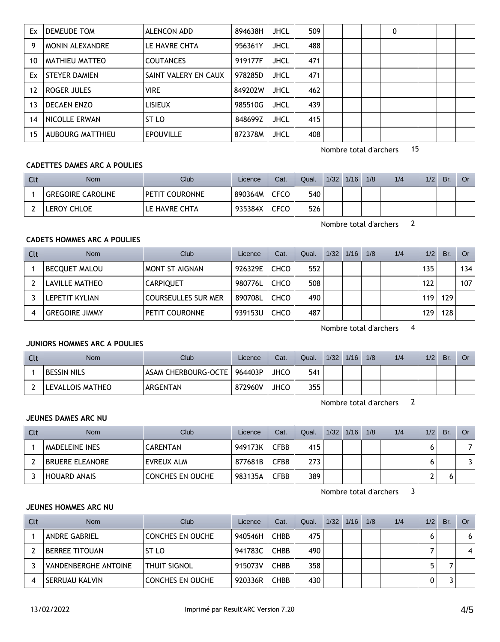| Ex | DEMEUDE TOM            | ALENCON ADD          | 894638H | <b>JHCL</b> | 509 |  | 0 |  |  |
|----|------------------------|----------------------|---------|-------------|-----|--|---|--|--|
| 9  | <b>MONIN ALEXANDRE</b> | LE HAVRE CHTA        | 956361Y | <b>JHCL</b> | 488 |  |   |  |  |
| 10 | MATHIEU MATTEO         | <b>COUTANCES</b>     | 919177F | <b>JHCL</b> | 471 |  |   |  |  |
| Ex | <b>STEYER DAMIEN</b>   | SAINT VALERY EN CAUX | 978285D | <b>JHCL</b> | 471 |  |   |  |  |
| 12 | ROGER JULES            | <b>VIRE</b>          | 849202W | <b>JHCL</b> | 462 |  |   |  |  |
| 13 | <b>DECAEN ENZO</b>     | <b>LISIEUX</b>       | 985510G | <b>JHCL</b> | 439 |  |   |  |  |
| 14 | NICOLLE ERWAN          | ST <sub>LO</sub>     | 848699Z | <b>JHCL</b> | 415 |  |   |  |  |
| 15 | AUBOURG MATTHIEU       | <b>EPOUVILLE</b>     | 872378M | <b>JHCL</b> | 408 |  |   |  |  |

#### **CADETTES DAMES ARC A POULIES**

| Clt | <b>Nom</b>               | Club <sup>1</sup> | Licence | Cat.        | Qual. | 1/32 | 1/16 | 1/8 | 1/4 | 1/2 | Br. | 0r |
|-----|--------------------------|-------------------|---------|-------------|-------|------|------|-----|-----|-----|-----|----|
|     | <b>GREGOIRE CAROLINE</b> | PETIT COURONNE    | 890364M | <b>CFCO</b> | 540   |      |      |     |     |     |     |    |
|     | LEROY CHLOE              | LE HAVRE CHTA     | 935384X | <b>CFCO</b> | 526   |      |      |     |     |     |     |    |

Nombre total d'archers 2

#### **CADETS HOMMES ARC A POULIES**

| Clt | <b>Nom</b>            | Club                       | Licence | Cat.        | Qual. | 1/32 | 1/16 | 1/8 | 1/4 | 1/2 | Br. | Or  |
|-----|-----------------------|----------------------------|---------|-------------|-------|------|------|-----|-----|-----|-----|-----|
|     | BECQUET MALOU         | MONT ST AIGNAN             | 926329E | CHCO        | 552   |      |      |     |     | 135 |     | 134 |
|     | LAVILLE MATHEO        | <b>CARPIQUET</b>           | 980776L | CHCO        | 508   |      |      |     |     | 122 |     | 107 |
|     | LEPETIT KYLIAN        | <b>COURSEULLES SUR MER</b> | 890708L | CHCO        | 490   |      |      |     |     | 119 | 129 |     |
|     | <b>GREGOIRE JIMMY</b> | PETIT COURONNE             | 939153U | <b>CHCO</b> | 487   |      |      |     |     | 129 | 128 |     |

Nombre total d'archers 4

#### **JUNIORS HOMMES ARC A POULIES**

| <b>Cli</b> | <b>Nom</b>         | Club                | Licence | Cat. | Qual. | 1/32 | 1/16 | 1/8 | 1/4 | 1/2 | Br. | Or |
|------------|--------------------|---------------------|---------|------|-------|------|------|-----|-----|-----|-----|----|
|            | <b>BESSIN NILS</b> | ASAM CHERBOURG-OCTE | 964403P | JHCO | 541   |      |      |     |     |     |     |    |
|            | LEVALLOIS MATHEO   | ARGENTAN            | 872960V | JHCO | 355   |      |      |     |     |     |     |    |

Nombre total d'archers 2

#### **JEUNES DAMES ARC NU**

| Clt | <b>Nom</b>             | Club             | Licence | Cat.        | Qual. | 1/32 | 1/16 | 1/8 | 1/4 | 1/2 | Br. | <b>Or</b> |
|-----|------------------------|------------------|---------|-------------|-------|------|------|-----|-----|-----|-----|-----------|
|     | <b>MADELEINE INES</b>  | <b>CARENTAN</b>  | 949173K | <b>CFBB</b> | 415   |      |      |     |     |     |     |           |
|     | <b>BRUERE ELEANORE</b> | EVREUX ALM       | 877681B | CFBB        | 273   |      |      |     |     |     |     |           |
|     | <b>HOUARD ANAIS</b>    | CONCHES EN OUCHE | 983135A | <b>CFBB</b> | 389   |      |      |     |     |     |     |           |

Nombre total d'archers 3

#### **JEUNES HOMMES ARC NU**

| Clt | <b>Nom</b>                  | Club                    | Licence | Cat.        | Qual. | 1/32 | 1/16 | 1/8 | 1/4 | 1/2 | Br. | Or . |
|-----|-----------------------------|-------------------------|---------|-------------|-------|------|------|-----|-----|-----|-----|------|
|     | <b>ANDRE GABRIEL</b>        | <b>CONCHES EN OUCHE</b> | 940546H | <b>CHBB</b> | 475   |      |      |     |     |     |     | 6    |
|     | <b>BERREE TITOUAN</b>       | ST LO                   | 941783C | <b>CHBB</b> | 490   |      |      |     |     |     |     | 4    |
|     | <b>VANDENBERGHE ANTOINE</b> | <b>THUIT SIGNOL</b>     | 915073V | <b>CHBB</b> | 358   |      |      |     |     |     |     |      |
|     | <b>SERRUAU KALVIN</b>       | <b>CONCHES EN OUCHE</b> | 920336R | <b>CHBB</b> | 430   |      |      |     |     |     |     |      |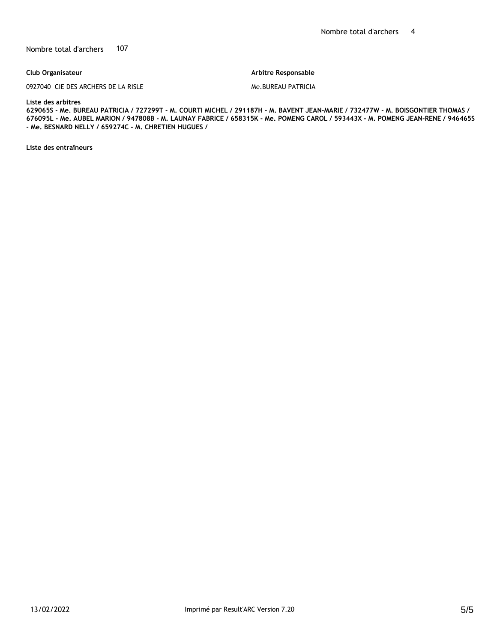#### **Club Organisateur**

0927040 CIE DES ARCHERS DE LA RISLE

**Arbitre Responsable** 

#### Me.BUREAU PATRICIA

#### **Liste des arbitres**

**629065S - Me. BUREAU PATRICIA / 727299T - M. COURTI MICHEL / 291187H - M. BAVENT JEAN-MARIE / 732477W - M. BOISGONTIER THOMAS / 676095L - Me. AUBEL MARION / 947808B - M. LAUNAY FABRICE / 658315K - Me. POMENG CAROL / 593443X - M. POMENG JEAN-RENE / 946465S - Me. BESNARD NELLY / 659274C - M. CHRETIEN HUGUES /** 

**Liste des entraîneurs**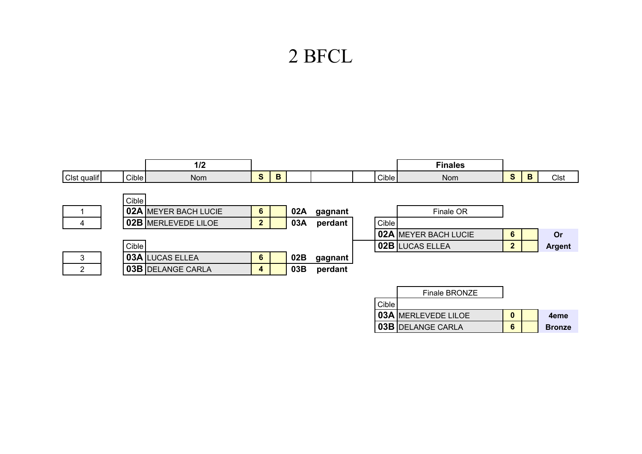# 2 BFCL

|                |       | 1/2                      |                |   |     |         |       | <b>Finales</b>              |                |   |               |
|----------------|-------|--------------------------|----------------|---|-----|---------|-------|-----------------------------|----------------|---|---------------|
| Clst qualif    | Cible | <b>Nom</b>               | S              | B |     |         | Cible | Nom                         | $\mathbf{s}$   | B | Clst          |
|                |       |                          |                |   |     |         |       |                             |                |   |               |
|                | Cible |                          |                |   |     |         |       |                             |                |   |               |
|                |       | 02A MEYER BACH LUCIE     | 6              |   | 02A | gagnant |       | Finale OR                   |                |   |               |
| 4              |       | 02B MERLEVEDE LILOE      | $\mathbf{2}$   |   | 03A | perdant | Cible |                             |                |   |               |
|                |       |                          |                |   |     |         |       | <b>02A MEYER BACH LUCIE</b> | 6              |   | Or            |
|                | Cible |                          |                |   |     |         |       | <b>02B LUCAS ELLEA</b>      | $\overline{2}$ |   | <b>Argent</b> |
| 3              |       | <b>03A LUCAS ELLEA</b>   | $6\phantom{1}$ |   | 02B | gagnant |       |                             |                |   |               |
| $\overline{2}$ |       | <b>03B DELANGE CARLA</b> | 4              |   | 03B | perdant |       |                             |                |   |               |
|                |       |                          |                |   |     |         |       |                             |                |   |               |
|                |       |                          |                |   |     |         |       | Finale BRONZE               |                |   |               |
|                |       |                          |                |   |     |         | Q(1)  |                             |                |   |               |

|         | Filiale DRUNZE             |  |               |
|---------|----------------------------|--|---------------|
| Cible l |                            |  |               |
|         | <b>03A MERLEVEDE LILOE</b> |  | 4eme          |
|         | 03B DELANGE CARLA          |  | <b>Bronze</b> |
|         |                            |  |               |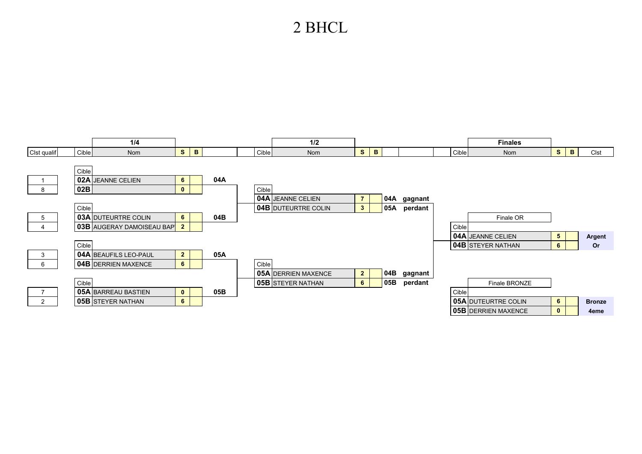## 2 BHCL

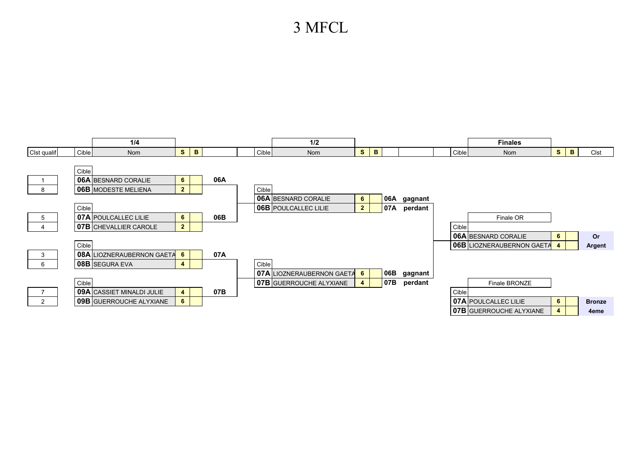## 3 MFCL

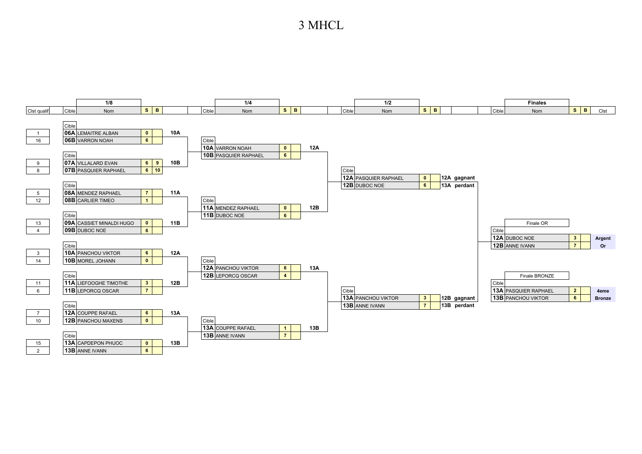### 3 MHCL

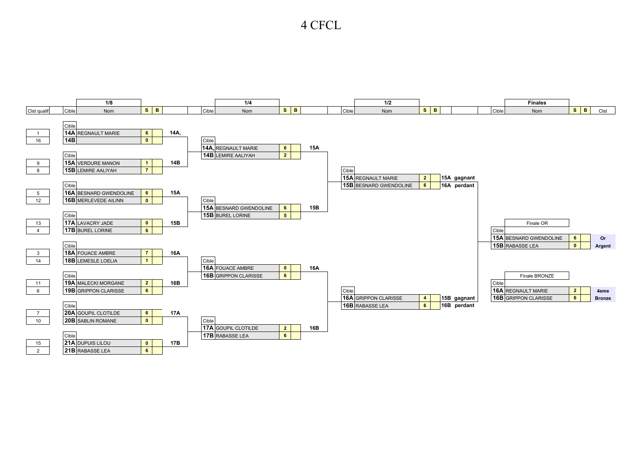### 4 CFCL

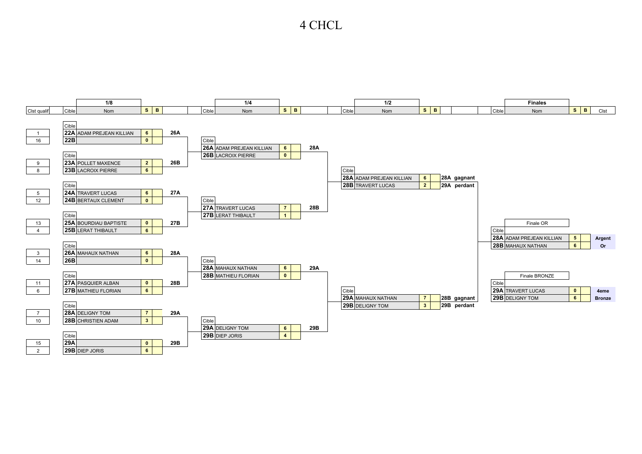### 4 CHCL

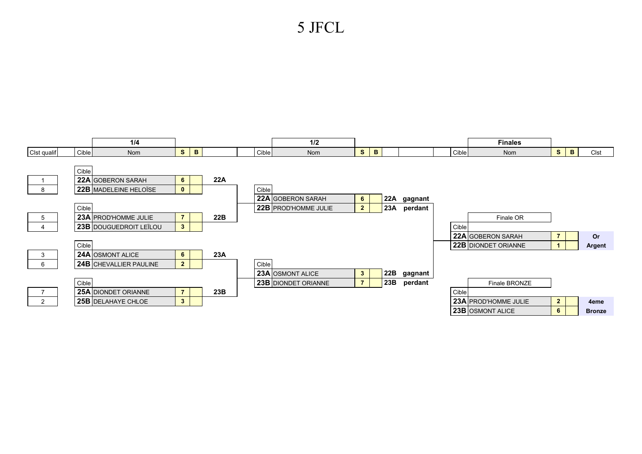## 5 JFCL

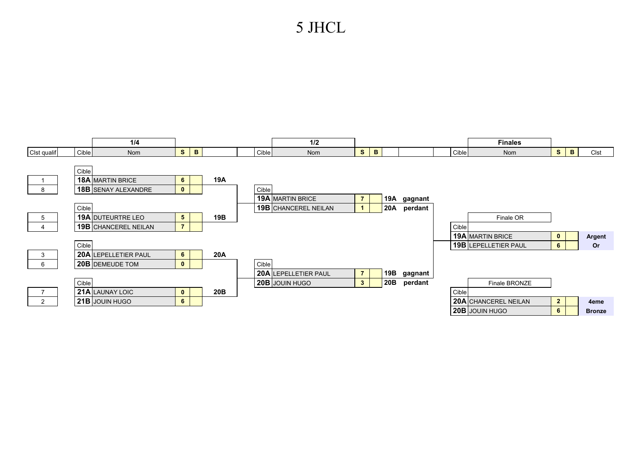## 5 JHCL

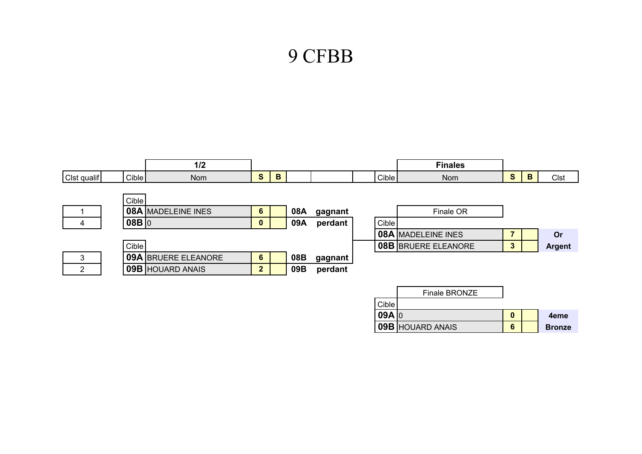# 9 CFBB

|                |       | 1/2                        |                |   |     |         |       | <b>Finales</b>             |                |   |               |
|----------------|-------|----------------------------|----------------|---|-----|---------|-------|----------------------------|----------------|---|---------------|
| Clst qualif    | Cible | <b>Nom</b>                 | S              | B |     |         | Cible | Nom                        | $\mathbf{s}$   | B | Clst          |
|                |       |                            |                |   |     |         |       |                            |                |   |               |
|                | Cible |                            |                |   |     |         |       |                            |                |   |               |
|                |       | <b>08A MADELEINE INES</b>  | $6\phantom{1}$ |   | 08A | gagnant |       | Finale OR                  |                |   |               |
| 4              | 08B 0 |                            | $\mathbf 0$    |   | 09A | perdant | Cible |                            |                |   |               |
|                |       |                            |                |   |     |         |       | <b>08A MADELEINE INES</b>  | $\overline{7}$ |   | Or            |
|                | Cible |                            |                |   |     |         |       | <b>08B BRUERE ELEANORE</b> | 3              |   | <b>Argent</b> |
| 3              |       | <b>09A BRUERE ELEANORE</b> | 6              |   | 08B | gagnant |       |                            |                |   |               |
| $\overline{2}$ |       | <b>09B HOUARD ANAIS</b>    | 2 <sup>1</sup> |   | 09B | perdant |       |                            |                |   |               |
|                |       |                            |                |   |     |         |       |                            |                |   |               |
|                |       |                            |                |   |     |         |       | Finale BRONZE              |                |   |               |
|                |       |                            |                |   |     |         | Cible |                            |                |   |               |
|                |       |                            |                |   |     |         | 09A 0 |                            | $\mathbf{0}$   |   | 4eme          |
|                |       |                            |                |   |     |         |       | 09B HOUARD ANAIS           | 6              |   | <b>Bronze</b> |
|                |       |                            |                |   |     |         |       |                            |                |   |               |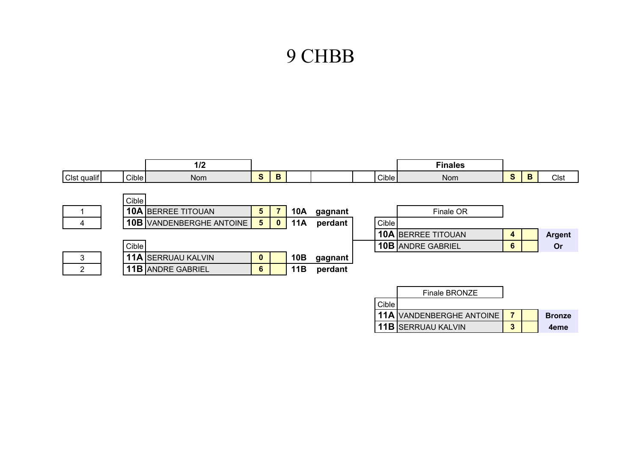# 9 CHBB

|                |       | 1/2                             |                 |                |            |         |       | <b>Finales</b>                  |                |   |               |
|----------------|-------|---------------------------------|-----------------|----------------|------------|---------|-------|---------------------------------|----------------|---|---------------|
| Clst qualif    | Cible | <b>Nom</b>                      | S               | B              |            |         | Cible | <b>Nom</b>                      | $\mathbf{s}$   | B | <b>Clst</b>   |
|                |       |                                 |                 |                |            |         |       |                                 |                |   |               |
|                | Cible |                                 |                 |                |            |         |       |                                 |                |   |               |
|                |       | <b>10A BERREE TITOUAN</b>       | $5\phantom{.0}$ | $\overline{7}$ | <b>10A</b> | gagnant |       | Finale OR                       |                |   |               |
| 4              |       | <b>10B</b> VANDENBERGHE ANTOINE | 5 <sub>5</sub>  | $\bf{0}$       | <b>11A</b> | perdant | Cible |                                 |                |   |               |
|                |       |                                 |                 |                |            |         |       | <b>10A BERREE TITOUAN</b>       | 4              |   | <b>Argent</b> |
|                | Cible |                                 |                 |                |            |         |       | <b>10B ANDRE GABRIEL</b>        | 6              |   | <b>Or</b>     |
| 3              |       | <b>11A SERRUAU KALVIN</b>       | $\mathbf 0$     |                | 10B        | gagnant |       |                                 |                |   |               |
| $\overline{2}$ |       | <b>11B ANDRE GABRIEL</b>        | $6\phantom{1}$  |                | 11B        | perdant |       |                                 |                |   |               |
|                |       |                                 |                 |                |            |         |       |                                 |                |   |               |
|                |       |                                 |                 |                |            |         |       | Finale BRONZE                   |                |   |               |
|                |       |                                 |                 |                |            |         | Cible |                                 |                |   |               |
|                |       |                                 |                 |                |            |         |       | <b>11A VANDENBERGHE ANTOINE</b> | $\overline{7}$ |   | <b>Bronze</b> |
|                |       |                                 |                 |                |            |         |       | <b>11B SERRUAU KALVIN</b>       | 3              |   | 4eme          |